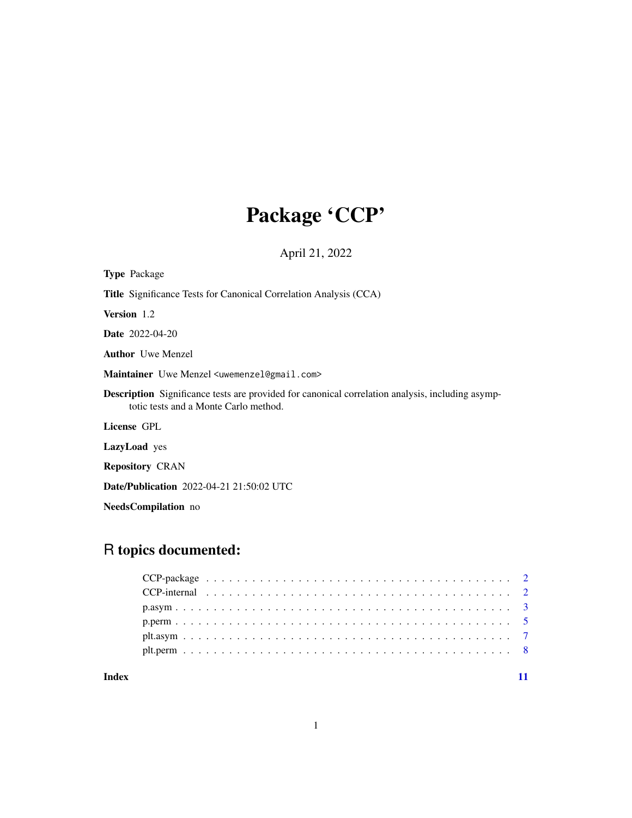# Package 'CCP'

April 21, 2022

<span id="page-0-0"></span>

| <b>Type Package</b>                                                                                                                              |
|--------------------------------------------------------------------------------------------------------------------------------------------------|
| <b>Title</b> Significance Tests for Canonical Correlation Analysis (CCA)                                                                         |
| <b>Version</b> 1.2                                                                                                                               |
| <b>Date</b> 2022-04-20                                                                                                                           |
| <b>Author</b> Uwe Menzel                                                                                                                         |
| Maintainer Uwe Menzel <uwemenzel@gmail.com></uwemenzel@gmail.com>                                                                                |
| <b>Description</b> Significance tests are provided for canonical correlation analysis, including asymp-<br>totic tests and a Monte Carlo method. |
| License GPL                                                                                                                                      |
| <b>LazyLoad</b> yes                                                                                                                              |
| <b>Repository CRAN</b>                                                                                                                           |
| <b>Date/Publication</b> 2022-04-21 21:50:02 UTC                                                                                                  |

NeedsCompilation no

# R topics documented:

# **Index** [11](#page-10-0)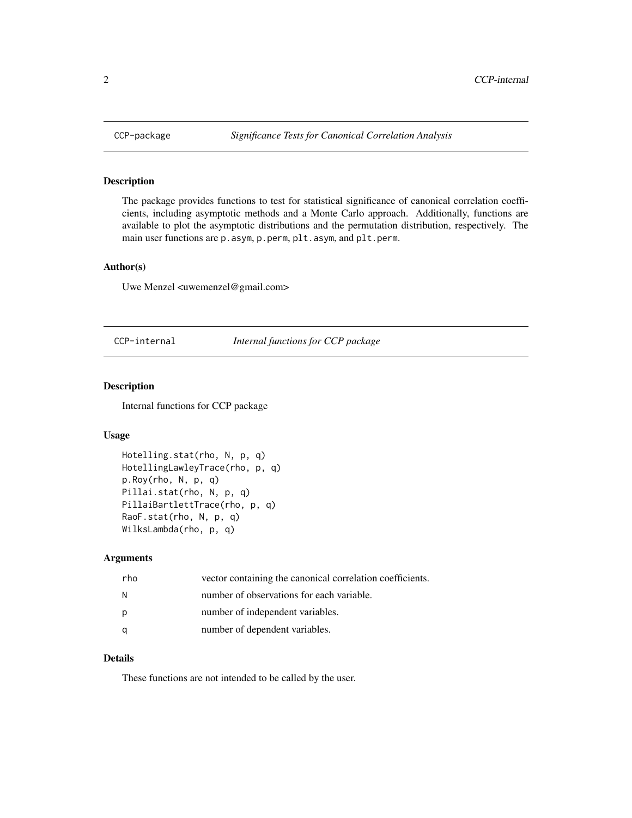<span id="page-1-0"></span>

# Description

The package provides functions to test for statistical significance of canonical correlation coefficients, including asymptotic methods and a Monte Carlo approach. Additionally, functions are available to plot the asymptotic distributions and the permutation distribution, respectively. The main user functions are p.asym, p.perm, plt.asym, and plt.perm.

# Author(s)

Uwe Menzel <uwemenzel@gmail.com>

CCP-internal *Internal functions for CCP package*

# Description

Internal functions for CCP package

### Usage

```
Hotelling.stat(rho, N, p, q)
HotellingLawleyTrace(rho, p, q)
p.Roy(rho, N, p, q)
Pillai.stat(rho, N, p, q)
PillaiBartlettTrace(rho, p, q)
RaoF.stat(rho, N, p, q)
WilksLambda(rho, p, q)
```
#### Arguments

| rho | vector containing the canonical correlation coefficients. |
|-----|-----------------------------------------------------------|
| N   | number of observations for each variable.                 |
| p   | number of independent variables.                          |
| q   | number of dependent variables.                            |

# Details

These functions are not intended to be called by the user.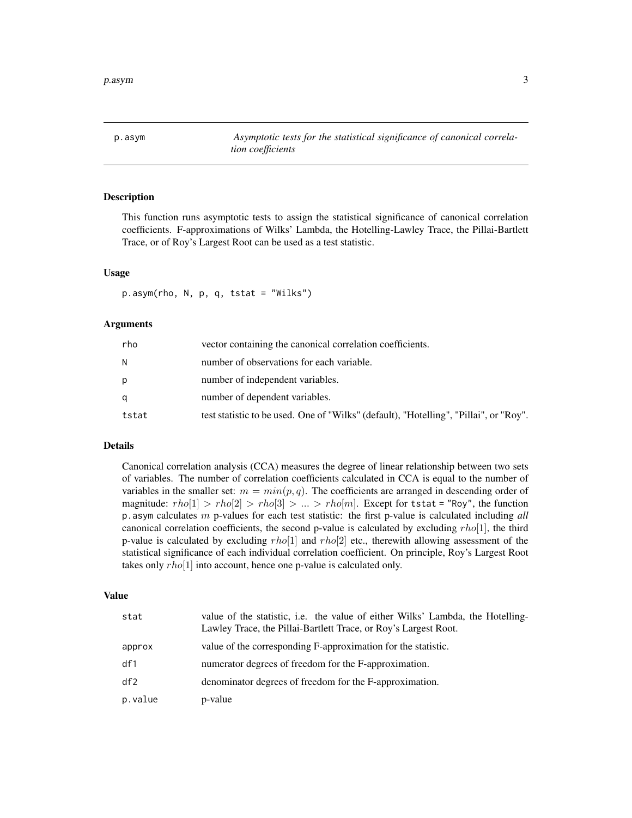<span id="page-2-1"></span><span id="page-2-0"></span>p.asym *Asymptotic tests for the statistical significance of canonical correlation coefficients*

# Description

This function runs asymptotic tests to assign the statistical significance of canonical correlation coefficients. F-approximations of Wilks' Lambda, the Hotelling-Lawley Trace, the Pillai-Bartlett Trace, or of Roy's Largest Root can be used as a test statistic.

# Usage

p.asym(rho, N, p, q, tstat = "Wilks")

# Arguments

| rho   | vector containing the canonical correlation coefficients.                             |
|-------|---------------------------------------------------------------------------------------|
| N     | number of observations for each variable.                                             |
| р     | number of independent variables.                                                      |
| a     | number of dependent variables.                                                        |
| tstat | test statistic to be used. One of "Wilks" (default), "Hotelling", "Pillai", or "Roy". |

# Details

Canonical correlation analysis (CCA) measures the degree of linear relationship between two sets of variables. The number of correlation coefficients calculated in CCA is equal to the number of variables in the smaller set:  $m = min(p, q)$ . The coefficients are arranged in descending order of magnitude:  $rho[1] > rho[2] > rho[3] > ... > rho[m]$ . Except for tstat = "Roy", the function p.asym calculates m p-values for each test statistic: the first p-value is calculated including *all* canonical correlation coefficients, the second p-value is calculated by excluding  $rho[1]$ , the third p-value is calculated by excluding  $rho[1]$  and  $rho[2]$  etc., therewith allowing assessment of the statistical significance of each individual correlation coefficient. On principle, Roy's Largest Root takes only  $rho[1]$  into account, hence one p-value is calculated only.

# Value

| stat    | value of the statistic, <i>i.e.</i> the value of either Wilks' Lambda, the Hotelling-<br>Lawley Trace, the Pillai-Bartlett Trace, or Roy's Largest Root. |
|---------|----------------------------------------------------------------------------------------------------------------------------------------------------------|
| approx  | value of the corresponding F-approximation for the statistic.                                                                                            |
| df1     | numerator degrees of freedom for the F-approximation.                                                                                                    |
| df2     | denominator degrees of freedom for the F-approximation.                                                                                                  |
| p.value | p-value                                                                                                                                                  |
|         |                                                                                                                                                          |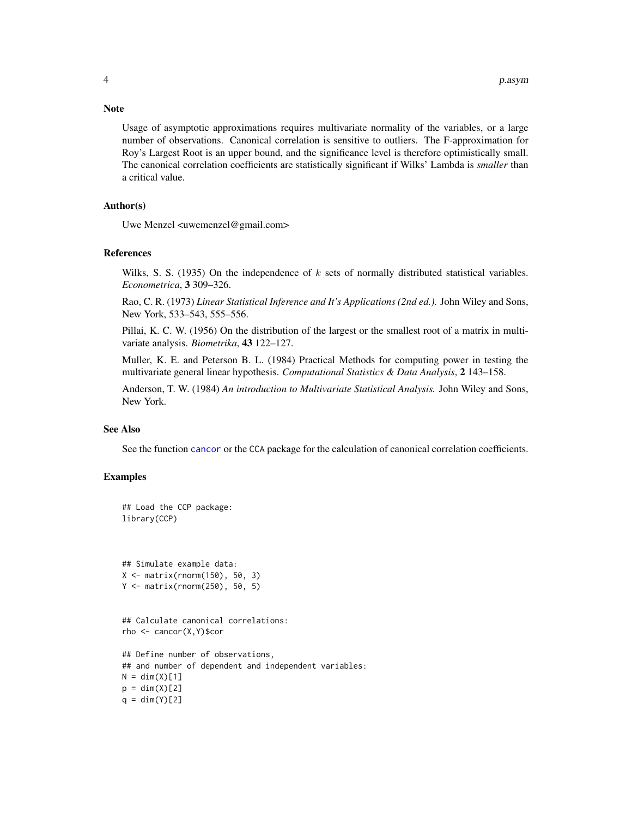Usage of asymptotic approximations requires multivariate normality of the variables, or a large number of observations. Canonical correlation is sensitive to outliers. The F-approximation for Roy's Largest Root is an upper bound, and the significance level is therefore optimistically small. The canonical correlation coefficients are statistically significant if Wilks' Lambda is *smaller* than a critical value.

# Author(s)

Uwe Menzel <uwemenzel@gmail.com>

#### References

Wilks, S. S. (1935) On the independence of  $k$  sets of normally distributed statistical variables. *Econometrica*, 3 309–326.

Rao, C. R. (1973) *Linear Statistical Inference and It's Applications (2nd ed.).* John Wiley and Sons, New York, 533–543, 555–556.

Pillai, K. C. W. (1956) On the distribution of the largest or the smallest root of a matrix in multivariate analysis. *Biometrika*, 43 122–127.

Muller, K. E. and Peterson B. L. (1984) Practical Methods for computing power in testing the multivariate general linear hypothesis. *Computational Statistics & Data Analysis*, 2 143–158.

Anderson, T. W. (1984) *An introduction to Multivariate Statistical Analysis.* John Wiley and Sons, New York.

#### See Also

See the function [cancor](#page-0-0) or the CCA package for the calculation of canonical correlation coefficients.

# Examples

```
## Load the CCP package:
library(CCP)
```
## Simulate example data: X <- matrix(rnorm(150), 50, 3) Y <- matrix(rnorm(250), 50, 5)

```
## Calculate canonical correlations:
rho <- cancor(X,Y)$cor
```

```
## Define number of observations,
## and number of dependent and independent variables:
N = dim(X)[1]p = dim(X)[2]q = dim(Y)[2]
```
# <span id="page-3-0"></span>**Note**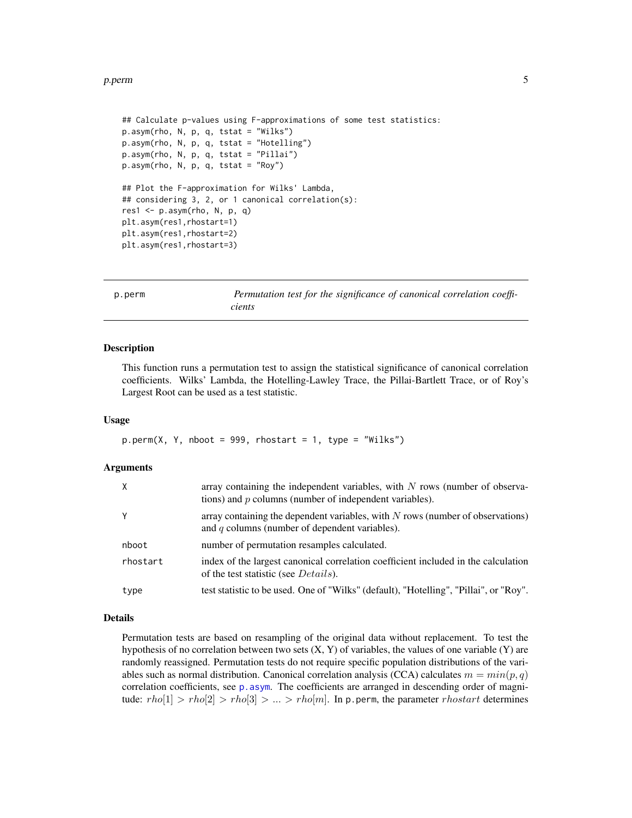#### <span id="page-4-0"></span>p.perm 5

```
## Calculate p-values using F-approximations of some test statistics:
p.asym(rho, N, p, q, tstat = "Wilks")
p.asym(rho, N, p, q, tstat = "Hotelling")
p.asym(rho, N, p, q, tstat = "Pillai")
p.asym(rho, N, p, q, tstat = "Roy")
## Plot the F-approximation for Wilks' Lambda,
## considering 3, 2, or 1 canonical correlation(s):
res1 <- p.asym(rho, N, p, q)
plt.asym(res1,rhostart=1)
plt.asym(res1,rhostart=2)
plt.asym(res1,rhostart=3)
```
<span id="page-4-1"></span>p.perm *Permutation test for the significance of canonical correlation coefficients*

#### Description

This function runs a permutation test to assign the statistical significance of canonical correlation coefficients. Wilks' Lambda, the Hotelling-Lawley Trace, the Pillai-Bartlett Trace, or of Roy's Largest Root can be used as a test statistic.

#### Usage

 $p.perm(X, Y, nboot = 999, rhostart = 1, type = "Wilks")$ 

#### Arguments

| X        | array containing the independent variables, with $N$ rows (number of observa-<br>tions) and p columns (number of independent variables). |
|----------|------------------------------------------------------------------------------------------------------------------------------------------|
| Υ        | array containing the dependent variables, with $N$ rows (number of observations)<br>and $q$ columns (number of dependent variables).     |
| nboot    | number of permutation resamples calculated.                                                                                              |
| rhostart | index of the largest canonical correlation coefficient included in the calculation<br>of the test statistic (see <i>Details</i> ).       |
| type     | test statistic to be used. One of "Wilks" (default), "Hotelling", "Pillai", or "Roy".                                                    |

#### Details

Permutation tests are based on resampling of the original data without replacement. To test the hypothesis of no correlation between two sets  $(X, Y)$  of variables, the values of one variable  $(Y)$  are randomly reassigned. Permutation tests do not require specific population distributions of the variables such as normal distribution. Canonical correlation analysis (CCA) calculates  $m = min(p, q)$ correlation coefficients, see [p.asym](#page-2-1). The coefficients are arranged in descending order of magnitude:  $rho[1] > rho[2] > rho[3] > ... > rho[m]$ . In p. perm, the parameter *rhostart* determines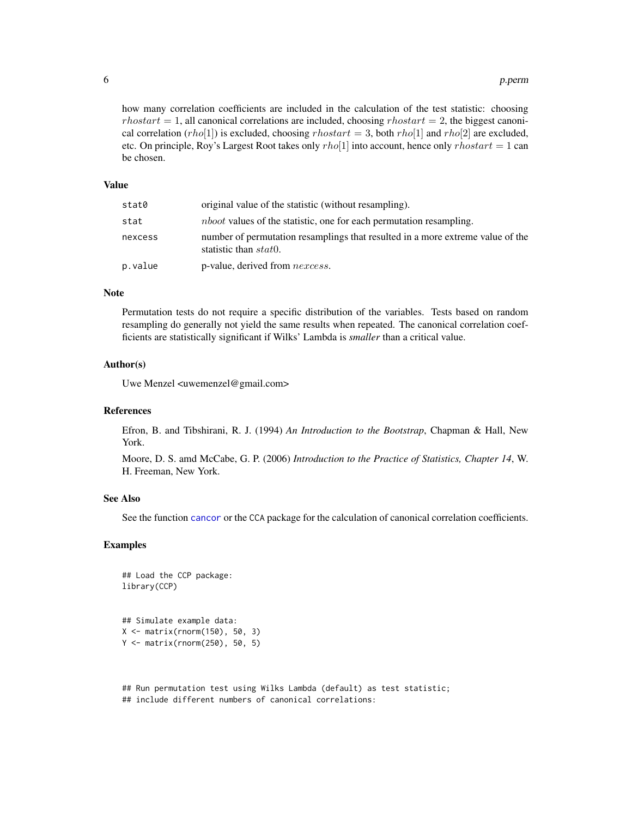how many correlation coefficients are included in the calculation of the test statistic: choosing  $rhostart = 1$ , all canonical correlations are included, choosing  $rhostart = 2$ , the biggest canonical correlation  $(rho[1])$  is excluded, choosing  $rhostart = 3$ , both  $rho[1]$  and  $rho[2]$  are excluded, etc. On principle, Roy's Largest Root takes only  $rho[1]$  into account, hence only  $rho[1]$  at  $a$ be chosen.

#### Value

| stat0   | original value of the statistic (without resampling).                                                           |
|---------|-----------------------------------------------------------------------------------------------------------------|
| stat    | <i>nboot</i> values of the statistic, one for each permutation resampling.                                      |
| nexcess | number of permutation resamplings that resulted in a more extreme value of the<br>statistic than <i>stat</i> 0. |
| p.value | p-value, derived from <i>nexcess</i> .                                                                          |

# Note

Permutation tests do not require a specific distribution of the variables. Tests based on random resampling do generally not yield the same results when repeated. The canonical correlation coefficients are statistically significant if Wilks' Lambda is *smaller* than a critical value.

#### Author(s)

Uwe Menzel <uwemenzel@gmail.com>

#### References

Efron, B. and Tibshirani, R. J. (1994) *An Introduction to the Bootstrap*, Chapman & Hall, New York.

Moore, D. S. amd McCabe, G. P. (2006) *Introduction to the Practice of Statistics, Chapter 14*, W. H. Freeman, New York.

### See Also

See the function [cancor](#page-0-0) or the CCA package for the calculation of canonical correlation coefficients.

# Examples

```
## Load the CCP package:
library(CCP)
```

```
## Simulate example data:
X <- matrix(rnorm(150), 50, 3)
Y <- matrix(rnorm(250), 50, 5)
```
## Run permutation test using Wilks Lambda (default) as test statistic; ## include different numbers of canonical correlations:

<span id="page-5-0"></span>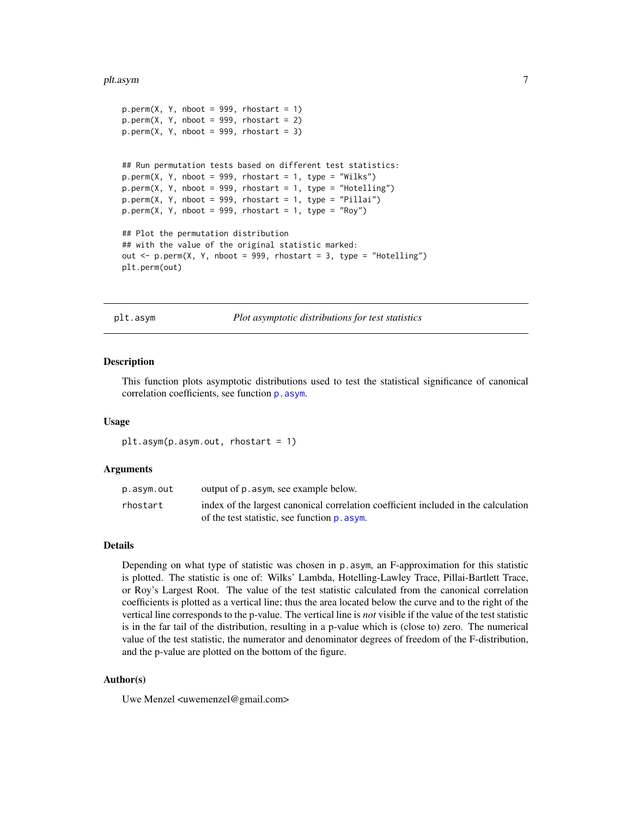#### <span id="page-6-0"></span>plt.asym  $\sim$  7

```
p.perm(X, Y, nboot = 999, rhostart = 1)p.perm(X, Y, nboot = 999, rhostart = 2)p.perm(X, Y, nboot = 999, rhostart = 3)## Run permutation tests based on different test statistics:
p.perm(X, Y, nboot = 999, rhostart = 1, type = "Wilks")p.perm(X, Y, nboot = 999, rhostart = 1, type = "Hotelling")p.perm(X, Y, nboot = 999, rhostart = 1, type = "Pillai")p.perm(X, Y, nboot = 999, rhostart = 1, type = "Roy")## Plot the permutation distribution
## with the value of the original statistic marked:
out \leq p.perm(X, Y, nboot = 999, rhostart = 3, type = "Hotelling")
plt.perm(out)
```
plt.asym *Plot asymptotic distributions for test statistics*

# Description

This function plots asymptotic distributions used to test the statistical significance of canonical correlation coefficients, see function  $p$ . asym.

#### Usage

```
plt.asym(p.asym.out, rhostart = 1)
```
# Arguments

| p.asym.out | output of p. asym, see example below.                                              |
|------------|------------------------------------------------------------------------------------|
| rhostart   | index of the largest canonical correlation coefficient included in the calculation |
|            | of the test statistic, see function $p$ , asym.                                    |

# Details

Depending on what type of statistic was chosen in p.asym, an F-approximation for this statistic is plotted. The statistic is one of: Wilks' Lambda, Hotelling-Lawley Trace, Pillai-Bartlett Trace, or Roy's Largest Root. The value of the test statistic calculated from the canonical correlation coefficients is plotted as a vertical line; thus the area located below the curve and to the right of the vertical line corresponds to the p-value. The vertical line is *not* visible if the value of the test statistic is in the far tail of the distribution, resulting in a p-value which is (close to) zero. The numerical value of the test statistic, the numerator and denominator degrees of freedom of the F-distribution, and the p-value are plotted on the bottom of the figure.

# Author(s)

Uwe Menzel <uwemenzel@gmail.com>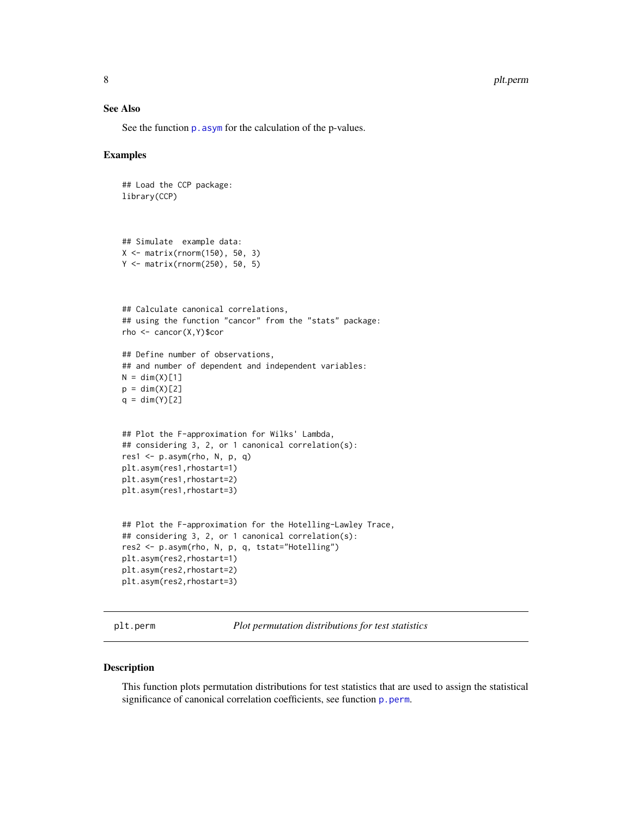#### 8 plt.perm

# See Also

See the function p. asym for the calculation of the p-values.

# Examples

```
## Load the CCP package:
library(CCP)
## Simulate example data:
X <- matrix(rnorm(150), 50, 3)
Y <- matrix(rnorm(250), 50, 5)
## Calculate canonical correlations,
## using the function "cancor" from the "stats" package:
rho <- cancor(X,Y)$cor
## Define number of observations,
## and number of dependent and independent variables:
N = \dim(X)[1]p = dim(X)[2]q = \dim(Y)[2]## Plot the F-approximation for Wilks' Lambda,
## considering 3, 2, or 1 canonical correlation(s):
res1 \leq p.asym(rho, N, p, q)
plt.asym(res1,rhostart=1)
plt.asym(res1,rhostart=2)
plt.asym(res1,rhostart=3)
## Plot the F-approximation for the Hotelling-Lawley Trace,
## considering 3, 2, or 1 canonical correlation(s):
res2 <- p.asym(rho, N, p, q, tstat="Hotelling")
plt.asym(res2,rhostart=1)
plt.asym(res2,rhostart=2)
plt.asym(res2,rhostart=3)
```
plt.perm *Plot permutation distributions for test statistics*

# Description

This function plots permutation distributions for test statistics that are used to assign the statistical significance of canonical correlation coefficients, see function [p.perm](#page-4-1).

<span id="page-7-0"></span>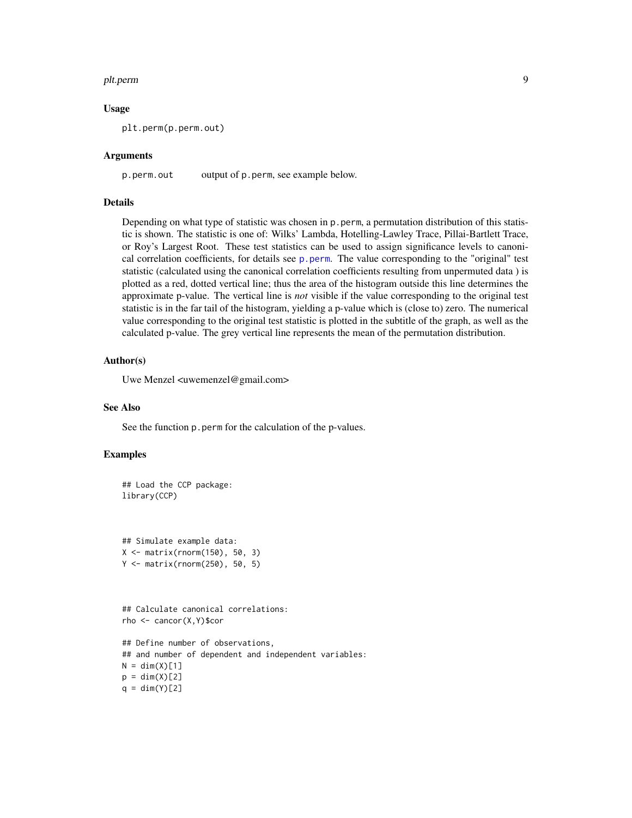#### <span id="page-8-0"></span>plt.perm 9

#### Usage

plt.perm(p.perm.out)

#### Arguments

p.perm.out output of p.perm, see example below.

#### Details

Depending on what type of statistic was chosen in p.perm, a permutation distribution of this statistic is shown. The statistic is one of: Wilks' Lambda, Hotelling-Lawley Trace, Pillai-Bartlett Trace, or Roy's Largest Root. These test statistics can be used to assign significance levels to canonical correlation coefficients, for details see  $p.$  perm. The value corresponding to the "original" test statistic (calculated using the canonical correlation coefficients resulting from unpermuted data ) is plotted as a red, dotted vertical line; thus the area of the histogram outside this line determines the approximate p-value. The vertical line is *not* visible if the value corresponding to the original test statistic is in the far tail of the histogram, yielding a p-value which is (close to) zero. The numerical value corresponding to the original test statistic is plotted in the subtitle of the graph, as well as the calculated p-value. The grey vertical line represents the mean of the permutation distribution.

# Author(s)

Uwe Menzel <uwemenzel@gmail.com>

#### See Also

See the function p.perm for the calculation of the p-values.

# Examples

```
## Load the CCP package:
library(CCP)
```
## Simulate example data: X <- matrix(rnorm(150), 50, 3) Y <- matrix(rnorm(250), 50, 5)

## Calculate canonical correlations: rho <- cancor(X,Y)\$cor

```
## Define number of observations,
## and number of dependent and independent variables:
N = \dim(X)[1]p = dim(X)[2]q = \dim(Y)[2]
```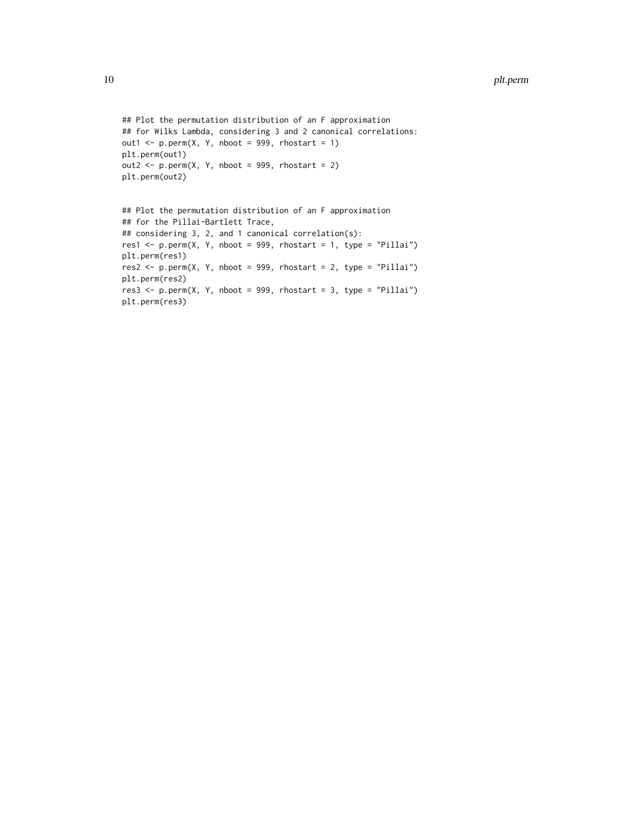```
## Plot the permutation distribution of an F approximation
## for Wilks Lambda, considering 3 and 2 canonical correlations:
out1 <- p.perm(X, Y, \text{nboot} = 999, \text{rbostart} = 1)plt.perm(out1)
out2 \leq p.perm(X, Y, nboot = 999, rhostart = 2)
plt.perm(out2)
## Plot the permutation distribution of an F approximation
## for the Pillai-Bartlett Trace,
## considering 3, 2, and 1 canonical correlation(s):
res1 \leq p.perm(X, Y, nboot = 999, rhostart = 1, type = "Pillai")
plt.perm(res1)
res2 <- p.perm(X, Y, nboot = 999, rhostart = 2, type = "Pillai")
plt.perm(res2)
res3 <- p.perm(X, Y, nboot = 999, rhostart = 3, type = "Pillai")
plt.perm(res3)
```